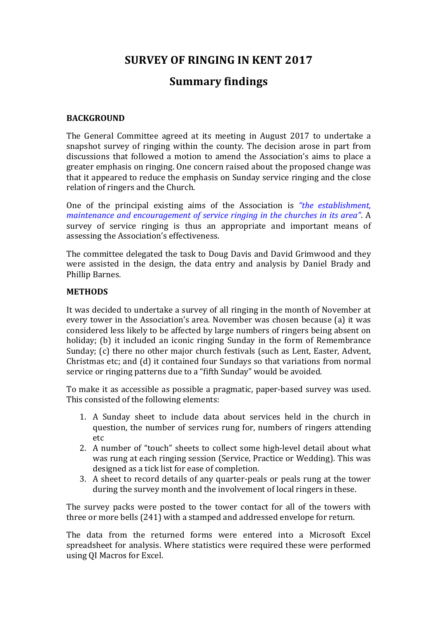# **SURVEY OF RINGING IN KENT 2017**

# **Summary findings**

## **BACKGROUND**

The General Committee agreed at its meeting in August 2017 to undertake a snapshot survey of ringing within the county. The decision arose in part from discussions that followed a motion to amend the Association's aims to place a greater emphasis on ringing. One concern raised about the proposed change was that it appeared to reduce the emphasis on Sunday service ringing and the close relation of ringers and the Church.

One of the principal existing aims of the Association is *"the establishment. maintenance and encouragement of service ringing in the churches in its area".* A survey of service ringing is thus an appropriate and important means of assessing the Association's effectiveness.

The committee delegated the task to Doug Davis and David Grimwood and they were assisted in the design, the data entry and analysis by Daniel Brady and Phillip Barnes.

## **METHODS**

It was decided to undertake a survey of all ringing in the month of November at every tower in the Association's area. November was chosen because (a) it was considered less likely to be affected by large numbers of ringers being absent on holiday; (b) it included an iconic ringing Sunday in the form of Remembrance Sunday; (c) there no other major church festivals (such as Lent, Easter, Advent, Christmas etc; and (d) it contained four Sundays so that variations from normal service or ringing patterns due to a "fifth Sunday" would be avoided.

To make it as accessible as possible a pragmatic, paper-based survey was used. This consisted of the following elements:

- 1. A Sunday sheet to include data about services held in the church in question, the number of services rung for, numbers of ringers attending etc
- 2. A number of "touch" sheets to collect some high-level detail about what was rung at each ringing session (Service, Practice or Wedding). This was designed as a tick list for ease of completion.
- 3. A sheet to record details of any quarter-peals or peals rung at the tower during the survey month and the involvement of local ringers in these.

The survey packs were posted to the tower contact for all of the towers with three or more bells (241) with a stamped and addressed envelope for return.

The data from the returned forms were entered into a Microsoft Excel spreadsheet for analysis. Where statistics were required these were performed using QI Macros for Excel.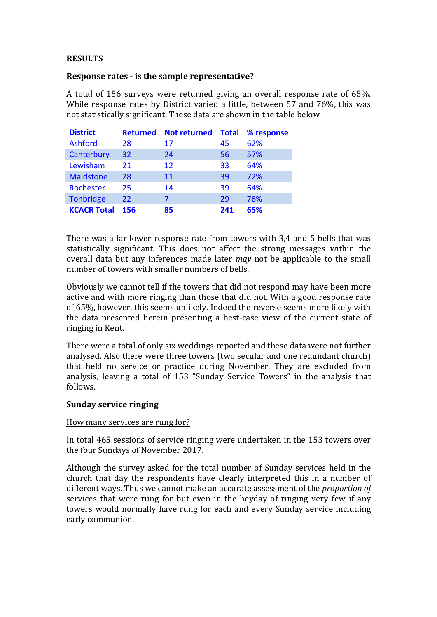## **RESULTS**

## **Response rates - is the sample representative?**

A total of 156 surveys were returned giving an overall response rate of 65%. While response rates by District varied a little, between 57 and 76%, this was not statistically significant. These data are shown in the table below

| <b>District</b>    | <b>Returned</b> | <b>Not returned</b> | <b>Total</b> | % response |
|--------------------|-----------------|---------------------|--------------|------------|
| <b>Ashford</b>     | 28              | 17                  | 45           | 62%        |
| Canterbury         | 32              | 24                  | 56           | 57%        |
| Lewisham           | 21              | 12                  | 33           | 64%        |
| <b>Maidstone</b>   | 28              | 11                  | 39           | 72%        |
| Rochester          | 25              | 14                  | 39           | 64%        |
| <b>Tonbridge</b>   | 22              |                     | 29           | 76%        |
| <b>KCACR Total</b> | 156             | 85                  | 241          | 65%        |

There was a far lower response rate from towers with 3,4 and 5 bells that was statistically significant. This does not affect the strong messages within the overall data but any inferences made later *may* not be applicable to the small number of towers with smaller numbers of bells.

Obviously we cannot tell if the towers that did not respond may have been more active and with more ringing than those that did not. With a good response rate of 65%, however, this seems unlikely. Indeed the reverse seems more likely with the data presented herein presenting a best-case view of the current state of ringing in Kent.

There were a total of only six weddings reported and these data were not further analysed. Also there were three towers (two secular and one redundant church) that held no service or practice during November. They are excluded from analysis, leaving a total of 153 "Sunday Service Towers" in the analysis that follows.

#### **Sunday service ringing**

#### How many services are rung for?

In total 465 sessions of service ringing were undertaken in the 153 towers over the four Sundays of November 2017.

Although the survey asked for the total number of Sunday services held in the church that day the respondents have clearly interpreted this in a number of different ways. Thus we cannot make an accurate assessment of the *proportion of* services that were rung for but even in the heyday of ringing very few if any towers would normally have rung for each and every Sunday service including early communion.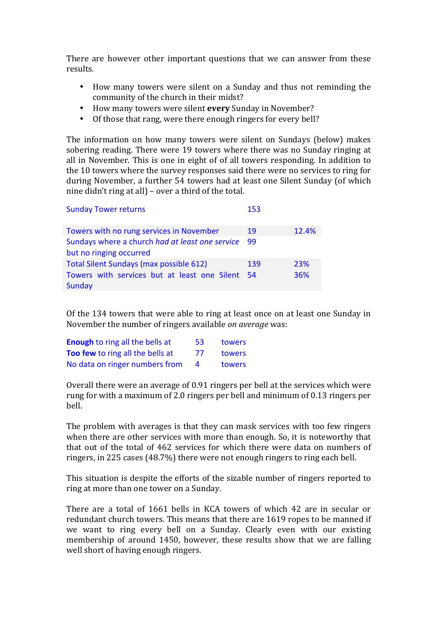There are however other important questions that we can answer from these results.

- How many towers were silent on a Sunday and thus not reminding the community of the church in their midst?
- How many towers were silent **every** Sunday in November?
- Of those that rang, were there enough ringers for every bell?

The information on how many towers were silent on Sundays (below) makes sobering reading. There were 19 towers where there was no Sunday ringing at all in November. This is one in eight of of all towers responding. In addition to the 10 towers where the survey responses said there were no services to ring for during November, a further 54 towers had at least one Silent Sunday (of which nine  $\text{d}$ idn't ring at all) – over a third of the total.

| <b>Sunday Tower returns</b>                                                                                 | 153  |            |
|-------------------------------------------------------------------------------------------------------------|------|------------|
| Towers with no rung services in November                                                                    | 19   | 12.4%      |
| Sundays where a church had at least one service<br>but no ringing occurred                                  | - 99 |            |
| <b>Total Silent Sundays (max possible 612)</b><br>Towers with services but at least one Silent 54<br>Sunday | 139  | 23%<br>36% |

Of the 134 towers that were able to ring at least once on at least one Sunday in November the number of ringers available *on average* was:

| <b>Enough to ring all the bells at</b> | 53.            | towers |
|----------------------------------------|----------------|--------|
| Too few to ring all the bells at       | 77             | towers |
| No data on ringer numbers from         | $\overline{a}$ | towers |

Overall there were an average of 0.91 ringers per bell at the services which were rung for with a maximum of 2.0 ringers per bell and minimum of 0.13 ringers per bell.

The problem with averages is that they can mask services with too few ringers when there are other services with more than enough. So, it is noteworthy that that out of the total of 462 services for which there were data on numbers of ringers, in 225 cases  $(48.7%)$  there were not enough ringers to ring each bell.

This situation is despite the efforts of the sizable number of ringers reported to ring at more than one tower on a Sunday.

There are a total of 1661 bells in KCA towers of which 42 are in secular or redundant church towers. This means that there are 1619 ropes to be manned if we want to ring every bell on a Sunday. Clearly even with our existing membership of around 1450, however, these results show that we are falling well short of having enough ringers.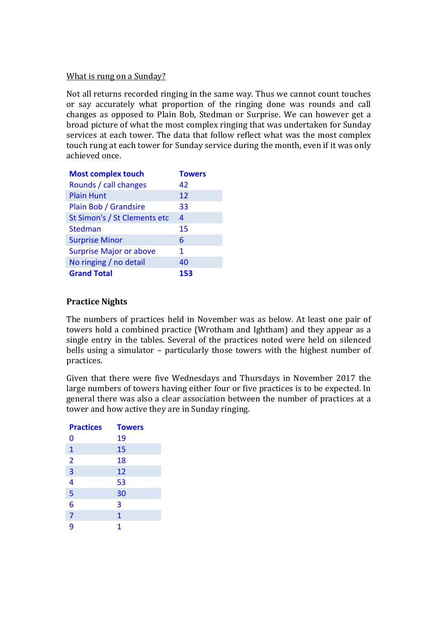## What is rung on a Sunday?

Not all returns recorded ringing in the same way. Thus we cannot count touches or say accurately what proportion of the ringing done was rounds and call changes as opposed to Plain Bob, Stedman or Surprise. We can however get a broad picture of what the most complex ringing that was undertaken for Sunday services at each tower. The data that follow reflect what was the most complex touch rung at each tower for Sunday service during the month, even if it was only achieved once.

| <b>Most complex touch</b>      | <b>Towers</b> |
|--------------------------------|---------------|
| Rounds / call changes          | 42            |
| <b>Plain Hunt</b>              | 12            |
| Plain Bob / Grandsire          | 33            |
| St Simon's / St Clements etc   | 4             |
| <b>Stedman</b>                 | 15            |
| <b>Surprise Minor</b>          | 6             |
| <b>Surprise Major or above</b> | 1             |
| No ringing / no detail         | 40            |
| <b>Grand Total</b>             | 153           |

# **Practice Nights**

The numbers of practices held in November was as below. At least one pair of towers hold a combined practice (Wrotham and Ightham) and they appear as a single entry in the tables. Several of the practices noted were held on silenced bells using a simulator – particularly those towers with the highest number of practices. 

Given that there were five Wednesdays and Thursdays in November 2017 the large numbers of towers having either four or five practices is to be expected. In general there was also a clear association between the number of practices at a tower and how active they are in Sunday ringing.

| <b>Practices</b>        | <b>Towers</b> |
|-------------------------|---------------|
| 0                       | 19            |
| $\mathbf{1}$            | 15            |
| $\overline{\mathbf{2}}$ | 18            |
| $\overline{\mathbf{3}}$ | 12            |
| $\overline{\mathbf{4}}$ | 53            |
| 5                       | 30            |
| 6                       | 3             |
| $\overline{7}$          | $\mathbf{1}$  |
| 9                       | 1             |